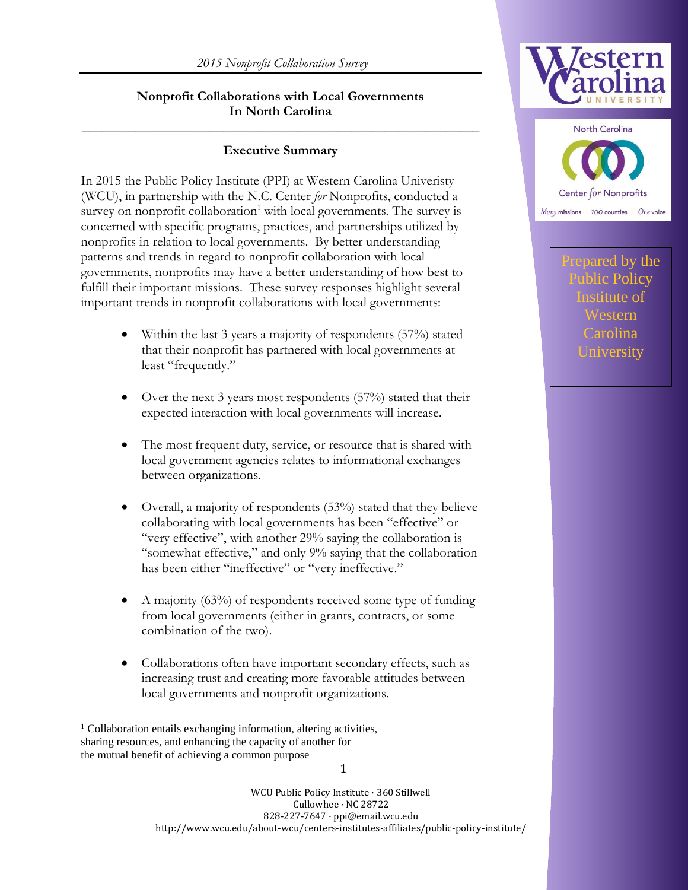#### **Nonprofit Collaborations with Local Governments In North Carolina**

#### **Executive Summary**

**\_\_\_\_\_\_\_\_\_\_\_\_\_\_\_\_\_\_\_\_\_\_\_\_\_\_\_\_\_\_\_\_\_\_\_\_\_\_\_\_\_\_\_\_\_\_\_\_\_\_\_\_\_\_\_\_\_\_\_**

In 2015 the Public Policy Institute (PPI) at Western Carolina Univeristy (WCU), in partnership with the N.C. Center *for* Nonprofits, conducted a survey on nonprofit collaboration<sup>1</sup> with local governments. The survey is concerned with specific programs, practices, and partnerships utilized by nonprofits in relation to local governments. By better understanding patterns and trends in regard to nonprofit collaboration with local governments, nonprofits may have a better understanding of how best to fulfill their important missions. These survey responses highlight several important trends in nonprofit collaborations with local governments:

- Within the last 3 years a majority of respondents (57%) stated that their nonprofit has partnered with local governments at least "frequently."
- Over the next 3 years most respondents  $(57%)$  stated that their expected interaction with local governments will increase.
- The most frequent duty, service, or resource that is shared with local government agencies relates to informational exchanges between organizations.
- Overall, a majority of respondents (53%) stated that they believe collaborating with local governments has been "effective" or "very effective", with another 29% saying the collaboration is "somewhat effective," and only 9% saying that the collaboration has been either "ineffective" or "very ineffective."
- A majority (63%) of respondents received some type of funding from local governments (either in grants, contracts, or some combination of the two).
- Collaborations often have important secondary effects, such as increasing trust and creating more favorable attitudes between local governments and nonprofit organizations.

 $\overline{a}$ 





pared by the blic Policy Institute of Western Carolina University

WCU Public Policy Institute · 360 Stillwell Cullowhee · NC 28722 828-227-7647 · ppi@email.wcu.edu http://www.wcu.edu/about-wcu/centers-institutes-affiliates/public-policy-institute/

<sup>&</sup>lt;sup>1</sup> Collaboration entails exchanging information, altering activities, sharing resources, and enhancing the capacity of another for the mutual benefit of achieving a common purpose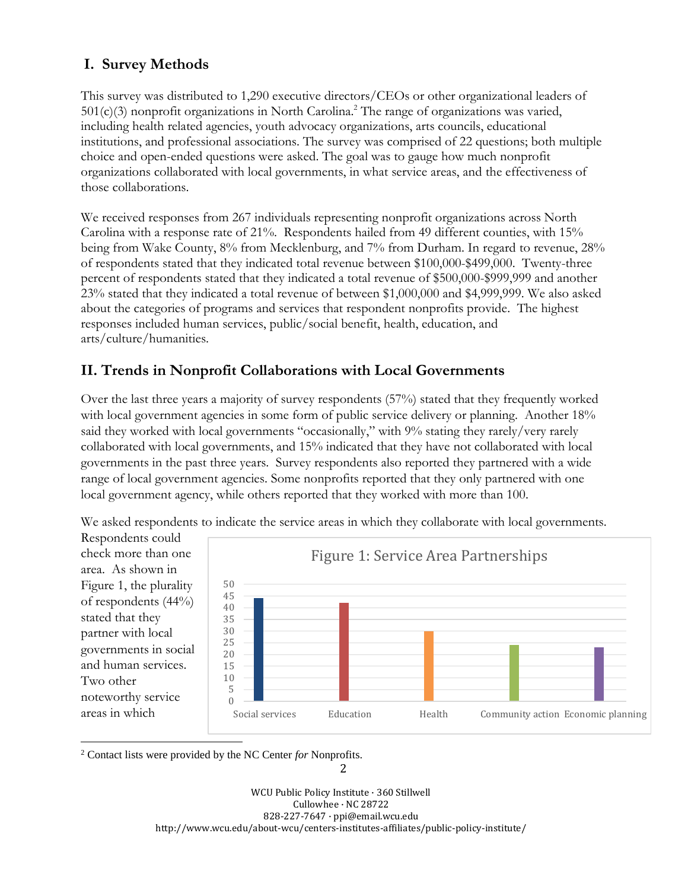# **I. Survey Methods**

This survey was distributed to 1,290 executive directors/CEOs or other organizational leaders of  $501(c)(3)$  nonprofit organizations in North Carolina.<sup>2</sup> The range of organizations was varied, including health related agencies, youth advocacy organizations, arts councils, educational institutions, and professional associations. The survey was comprised of 22 questions; both multiple choice and open-ended questions were asked. The goal was to gauge how much nonprofit organizations collaborated with local governments, in what service areas, and the effectiveness of those collaborations.

We received responses from 267 individuals representing nonprofit organizations across North Carolina with a response rate of 21%. Respondents hailed from 49 different counties, with 15% being from Wake County, 8% from Mecklenburg, and 7% from Durham. In regard to revenue, 28% of respondents stated that they indicated total revenue between \$100,000-\$499,000. Twenty-three percent of respondents stated that they indicated a total revenue of \$500,000-\$999,999 and another 23% stated that they indicated a total revenue of between \$1,000,000 and \$4,999,999. We also asked about the categories of programs and services that respondent nonprofits provide. The highest responses included human services, public/social benefit, health, education, and arts/culture/humanities.

# **II. Trends in Nonprofit Collaborations with Local Governments**

Over the last three years a majority of survey respondents (57%) stated that they frequently worked with local government agencies in some form of public service delivery or planning. Another 18% said they worked with local governments "occasionally," with 9% stating they rarely/very rarely collaborated with local governments, and 15% indicated that they have not collaborated with local governments in the past three years. Survey respondents also reported they partnered with a wide range of local government agencies. Some nonprofits reported that they only partnered with one local government agency, while others reported that they worked with more than 100.



We asked respondents to indicate the service areas in which they collaborate with local governments.

 $\overline{a}$ <sup>2</sup> Contact lists were provided by the NC Center *for* Nonprofits.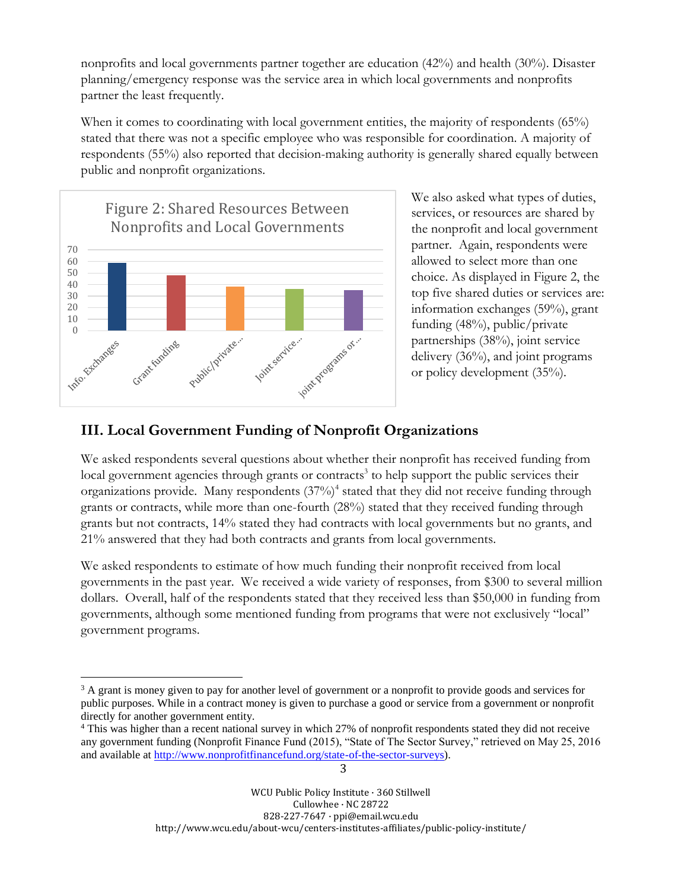nonprofits and local governments partner together are education (42%) and health (30%). Disaster planning/emergency response was the service area in which local governments and nonprofits partner the least frequently.

When it comes to coordinating with local government entities, the majority of respondents (65%) stated that there was not a specific employee who was responsible for coordination. A majority of respondents (55%) also reported that decision-making authority is generally shared equally between public and nonprofit organizations.



We also asked what types of duties, services, or resources are shared by the nonprofit and local government partner. Again, respondents were allowed to select more than one choice. As displayed in Figure 2, the top five shared duties or services are: information exchanges (59%), grant funding (48%), public/private partnerships (38%), joint service delivery (36%), and joint programs or policy development (35%).

#### **III. Local Government Funding of Nonprofit Organizations**

We asked respondents several questions about whether their nonprofit has received funding from local government agencies through grants or contracts<sup>3</sup> to help support the public services their organizations provide. Many respondents (37%)<sup>4</sup> stated that they did not receive funding through grants or contracts, while more than one-fourth (28%) stated that they received funding through grants but not contracts, 14% stated they had contracts with local governments but no grants, and 21% answered that they had both contracts and grants from local governments.

We asked respondents to estimate of how much funding their nonprofit received from local governments in the past year. We received a wide variety of responses, from \$300 to several million dollars. Overall, half of the respondents stated that they received less than \$50,000 in funding from governments, although some mentioned funding from programs that were not exclusively "local" government programs.

3

 $\overline{a}$ <sup>3</sup> A grant is money given to pay for another level of government or a nonprofit to provide goods and services for public purposes. While in a contract money is given to purchase a good or service from a government or nonprofit directly for another government entity.

<sup>4</sup> This was higher than a recent national survey in which 27% of nonprofit respondents stated they did not receive any government funding (Nonprofit Finance Fund (2015), "State of The Sector Survey," retrieved on May 25, 2016 and available at [http://www.nonprofitfinancefund.org/state-of-the-sector-surveys\)](http://www.nonprofitfinancefund.org/state-of-the-sector-surveys).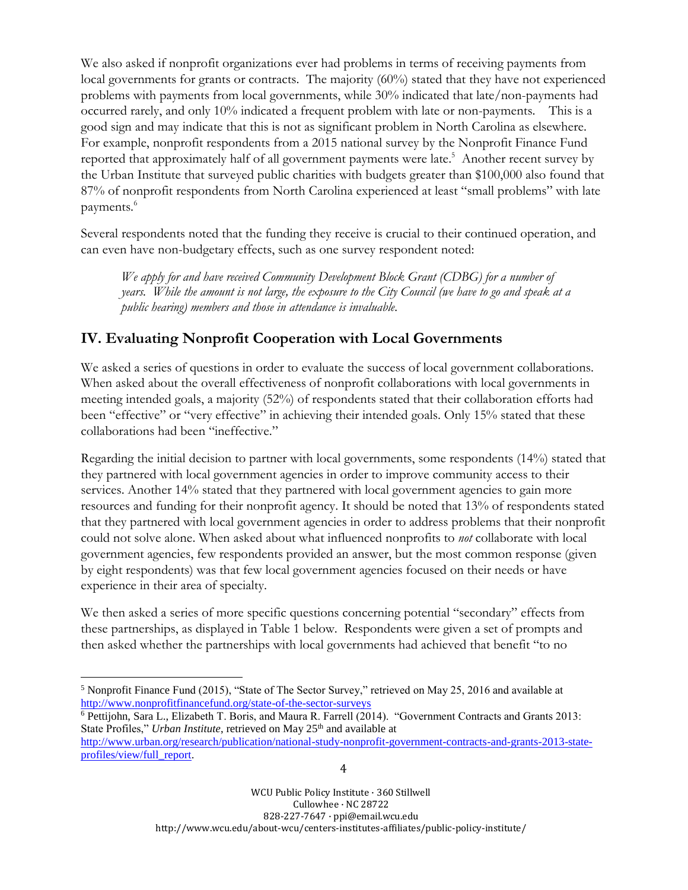We also asked if nonprofit organizations ever had problems in terms of receiving payments from local governments for grants or contracts. The majority (60%) stated that they have not experienced problems with payments from local governments, while 30% indicated that late/non-payments had occurred rarely, and only 10% indicated a frequent problem with late or non-payments. This is a good sign and may indicate that this is not as significant problem in North Carolina as elsewhere. For example, nonprofit respondents from a 2015 national survey by the Nonprofit Finance Fund reported that approximately half of all government payments were late. <sup>5</sup> Another recent survey by the Urban Institute that surveyed public charities with budgets greater than \$100,000 also found that 87% of nonprofit respondents from North Carolina experienced at least "small problems" with late payments.<sup>6</sup>

Several respondents noted that the funding they receive is crucial to their continued operation, and can even have non-budgetary effects, such as one survey respondent noted:

*We apply for and have received Community Development Block Grant (CDBG) for a number of years. While the amount is not large, the exposure to the City Council (we have to go and speak at a public hearing) members and those in attendance is invaluable.*

# **IV. Evaluating Nonprofit Cooperation with Local Governments**

We asked a series of questions in order to evaluate the success of local government collaborations. When asked about the overall effectiveness of nonprofit collaborations with local governments in meeting intended goals, a majority (52%) of respondents stated that their collaboration efforts had been "effective" or "very effective" in achieving their intended goals. Only 15% stated that these collaborations had been "ineffective."

Regarding the initial decision to partner with local governments, some respondents (14%) stated that they partnered with local government agencies in order to improve community access to their services. Another 14% stated that they partnered with local government agencies to gain more resources and funding for their nonprofit agency. It should be noted that 13% of respondents stated that they partnered with local government agencies in order to address problems that their nonprofit could not solve alone. When asked about what influenced nonprofits to *not* collaborate with local government agencies, few respondents provided an answer, but the most common response (given by eight respondents) was that few local government agencies focused on their needs or have experience in their area of specialty.

We then asked a series of more specific questions concerning potential "secondary" effects from these partnerships, as displayed in Table 1 below. Respondents were given a set of prompts and then asked whether the partnerships with local governments had achieved that benefit "to no

 $\overline{a}$ 

<sup>6</sup> Pettijohn, Sara L., Elizabeth T. Boris, and Maura R. Farrell (2014). "Government Contracts and Grants 2013: State Profiles," *Urban Institute*, retrieved on May 25<sup>th</sup> and available at

<sup>5</sup> Nonprofit Finance Fund (2015), "State of The Sector Survey," retrieved on May 25, 2016 and available at <http://www.nonprofitfinancefund.org/state-of-the-sector-surveys>

[http://www.urban.org/research/publication/national-study-nonprofit-government-contracts-and-grants-2013-state](http://www.urban.org/research/publication/national-study-nonprofit-government-contracts-and-grants-2013-state-profiles/view/full_report)[profiles/view/full\\_report.](http://www.urban.org/research/publication/national-study-nonprofit-government-contracts-and-grants-2013-state-profiles/view/full_report)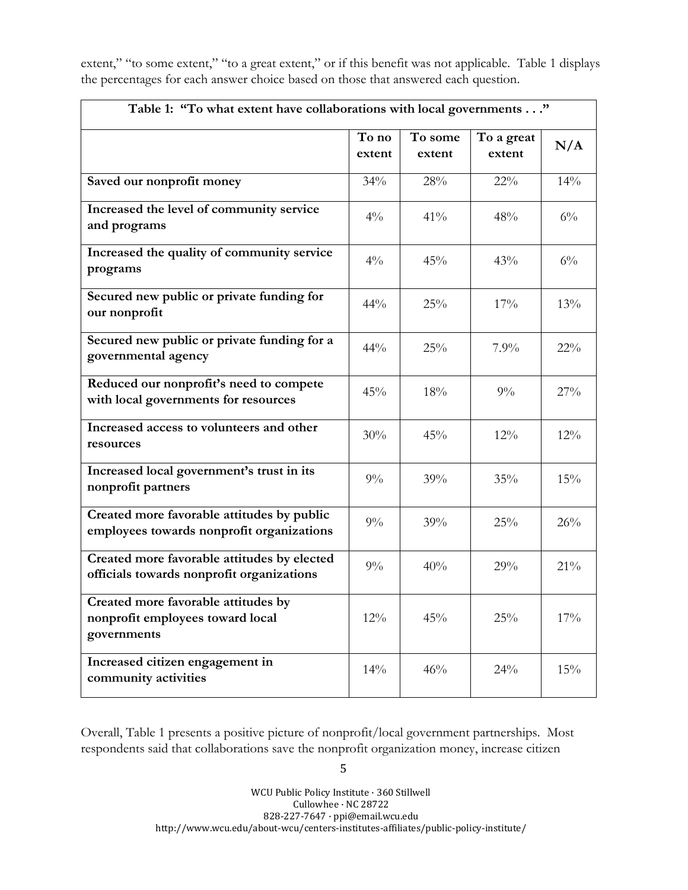extent," "to some extent," "to a great extent," or if this benefit was not applicable. Table 1 displays the percentages for each answer choice based on those that answered each question.

| Table 1: "To what extent have collaborations with local governments"                     |                 |                   |                      |        |  |  |  |  |
|------------------------------------------------------------------------------------------|-----------------|-------------------|----------------------|--------|--|--|--|--|
|                                                                                          | To no<br>extent | To some<br>extent | To a great<br>extent | N/A    |  |  |  |  |
| Saved our nonprofit money                                                                | 34%             | 28%               | $22\%$               | 14%    |  |  |  |  |
| Increased the level of community service<br>and programs                                 | $4\%$           | 41%               | 48%                  | $6\%$  |  |  |  |  |
| Increased the quality of community service<br>programs                                   | $4\frac{0}{0}$  | 45%               | 43%                  | $6\%$  |  |  |  |  |
| Secured new public or private funding for<br>our nonprofit                               | 44%             | 25%               | 17%                  | 13%    |  |  |  |  |
| Secured new public or private funding for a<br>governmental agency                       | 44%             | 25%               | 7.9%                 | $22\%$ |  |  |  |  |
| Reduced our nonprofit's need to compete<br>with local governments for resources          | 45%             | 18%               | $9\%$                | 27%    |  |  |  |  |
| Increased access to volunteers and other<br>resources                                    | 30%             | 45%               | 12%                  | 12%    |  |  |  |  |
| Increased local government's trust in its<br>nonprofit partners                          | $9\%$           | 39%               | 35%                  | 15%    |  |  |  |  |
| Created more favorable attitudes by public<br>employees towards nonprofit organizations  | $9\%$           | 39%               | 25%                  | 26%    |  |  |  |  |
| Created more favorable attitudes by elected<br>officials towards nonprofit organizations | $9\%$           | 40%               | 29%                  | 21%    |  |  |  |  |
| Created more favorable attitudes by<br>nonprofit employees toward local<br>governments   | 12%             | 45%               | 25%                  | 17%    |  |  |  |  |
| Increased citizen engagement in<br>community activities                                  | 14%             | 46%               | 24%                  | 15%    |  |  |  |  |

Overall, Table 1 presents a positive picture of nonprofit/local government partnerships. Most respondents said that collaborations save the nonprofit organization money, increase citizen

5

WCU Public Policy Institute · 360 Stillwell Cullowhee · NC 28722 828-227-7647 · ppi@email.wcu.edu http://www.wcu.edu/about-wcu/centers-institutes-affiliates/public-policy-institute/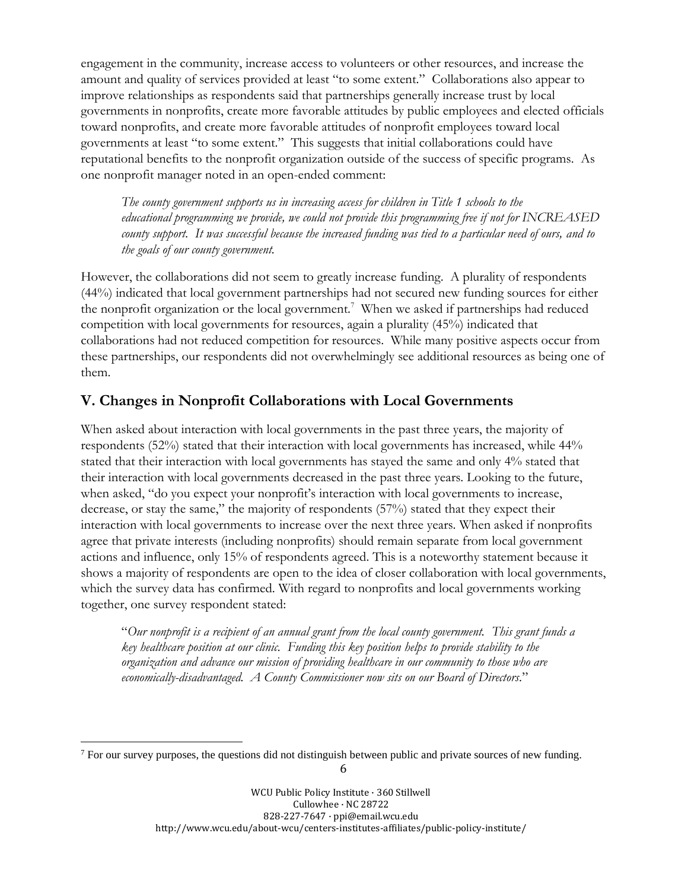engagement in the community, increase access to volunteers or other resources, and increase the amount and quality of services provided at least "to some extent." Collaborations also appear to improve relationships as respondents said that partnerships generally increase trust by local governments in nonprofits, create more favorable attitudes by public employees and elected officials toward nonprofits, and create more favorable attitudes of nonprofit employees toward local governments at least "to some extent." This suggests that initial collaborations could have reputational benefits to the nonprofit organization outside of the success of specific programs. As one nonprofit manager noted in an open-ended comment:

*The county government supports us in increasing access for children in Title 1 schools to the educational programming we provide, we could not provide this programming free if not for INCREASED* county support. It was successful because the increased funding was tied to a particular need of ours, and to *the goals of our county government.*

However, the collaborations did not seem to greatly increase funding. A plurality of respondents (44%) indicated that local government partnerships had not secured new funding sources for either the nonprofit organization or the local government.<sup>7</sup> When we asked if partnerships had reduced competition with local governments for resources, again a plurality (45%) indicated that collaborations had not reduced competition for resources. While many positive aspects occur from these partnerships, our respondents did not overwhelmingly see additional resources as being one of them.

# **V. Changes in Nonprofit Collaborations with Local Governments**

When asked about interaction with local governments in the past three years, the majority of respondents (52%) stated that their interaction with local governments has increased, while 44% stated that their interaction with local governments has stayed the same and only 4% stated that their interaction with local governments decreased in the past three years. Looking to the future, when asked, "do you expect your nonprofit's interaction with local governments to increase, decrease, or stay the same," the majority of respondents (57%) stated that they expect their interaction with local governments to increase over the next three years. When asked if nonprofits agree that private interests (including nonprofits) should remain separate from local government actions and influence, only 15% of respondents agreed. This is a noteworthy statement because it shows a majority of respondents are open to the idea of closer collaboration with local governments, which the survey data has confirmed. With regard to nonprofits and local governments working together, one survey respondent stated:

"*Our nonprofit is a recipient of an annual grant from the local county government. This grant funds a key healthcare position at our clinic. Funding this key position helps to provide stability to the organization and advance our mission of providing healthcare in our community to those who are economically-disadvantaged. A County Commissioner now sits on our Board of Directors*."

 $\overline{a}$ 

<sup>&</sup>lt;sup>7</sup> For our survey purposes, the questions did not distinguish between public and private sources of new funding.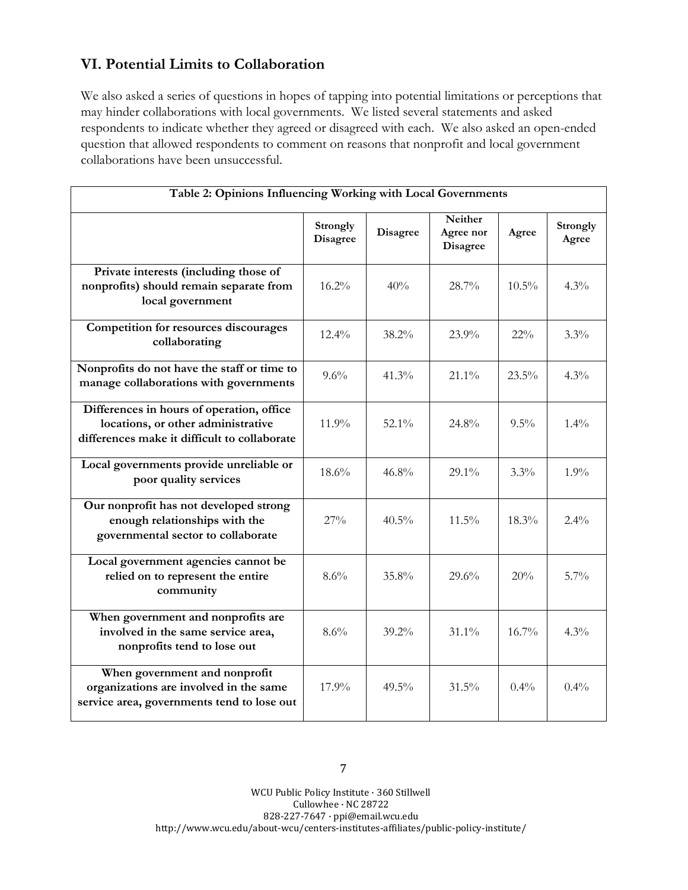#### **VI. Potential Limits to Collaboration**

We also asked a series of questions in hopes of tapping into potential limitations or perceptions that may hinder collaborations with local governments. We listed several statements and asked respondents to indicate whether they agreed or disagreed with each. We also asked an open-ended question that allowed respondents to comment on reasons that nonprofit and local government collaborations have been unsuccessful.

| Table 2: Opinions Influencing Working with Local Governments                                                                    |                             |          |                                         |          |                   |  |  |  |
|---------------------------------------------------------------------------------------------------------------------------------|-----------------------------|----------|-----------------------------------------|----------|-------------------|--|--|--|
|                                                                                                                                 | Strongly<br><b>Disagree</b> | Disagree | Neither<br>Agree nor<br><b>Disagree</b> | Agree    | Strongly<br>Agree |  |  |  |
| Private interests (including those of<br>nonprofits) should remain separate from<br>local government                            | 16.2%                       | 40%      | 28.7%                                   | $10.5\%$ | 4.3%              |  |  |  |
| <b>Competition for resources discourages</b><br>collaborating                                                                   | $12.4\%$                    | 38.2%    | 23.9%                                   | $22\%$   | $3.3\%$           |  |  |  |
| Nonprofits do not have the staff or time to<br>manage collaborations with governments                                           | 9.6%                        | 41.3%    | $21.1\%$                                | 23.5%    | 4.3%              |  |  |  |
| Differences in hours of operation, office<br>locations, or other administrative<br>differences make it difficult to collaborate | 11.9%                       | $52.1\%$ | 24.8%                                   | $9.5\%$  | $1.4\%$           |  |  |  |
| Local governments provide unreliable or<br>poor quality services                                                                | 18.6%                       | 46.8%    | 29.1%                                   | $3.3\%$  | 1.9%              |  |  |  |
| Our nonprofit has not developed strong<br>enough relationships with the<br>governmental sector to collaborate                   | 27%                         | $40.5\%$ | $11.5\%$                                | $18.3\%$ | $2.4\%$           |  |  |  |
| Local government agencies cannot be<br>relied on to represent the entire<br>community                                           | 8.6%                        | 35.8%    | 29.6%                                   | 20%      | 5.7%              |  |  |  |
| When government and nonprofits are<br>involved in the same service area,<br>nonprofits tend to lose out                         | 8.6%                        | $39.2\%$ | $31.1\%$                                | 16.7%    | $4.3\%$           |  |  |  |
| When government and nonprofit<br>organizations are involved in the same<br>service area, governments tend to lose out           | 17.9%                       | $49.5\%$ | 31.5%                                   | 0.4%     | 0.4%              |  |  |  |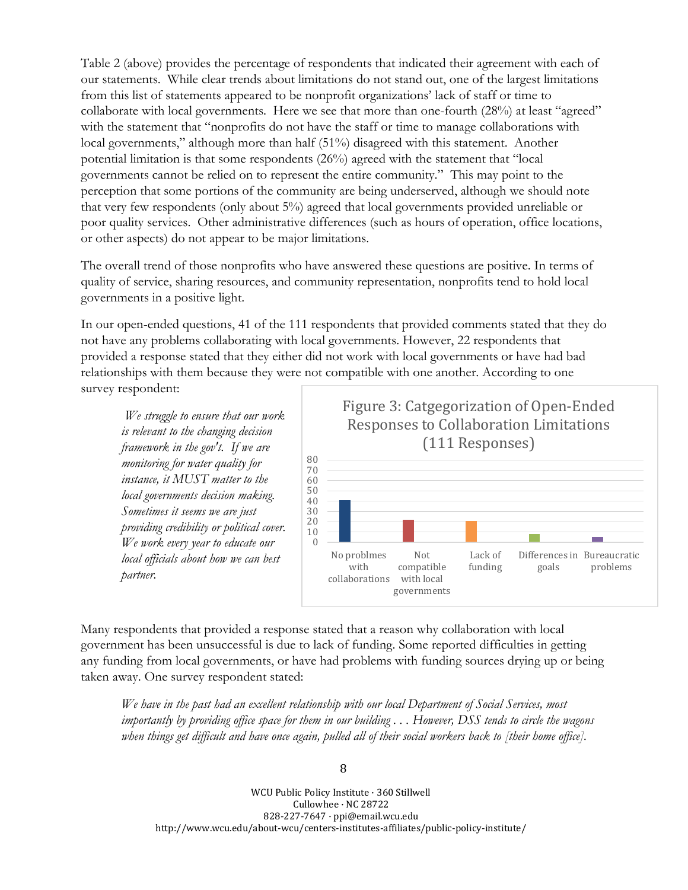Table 2 (above) provides the percentage of respondents that indicated their agreement with each of our statements. While clear trends about limitations do not stand out, one of the largest limitations from this list of statements appeared to be nonprofit organizations' lack of staff or time to collaborate with local governments. Here we see that more than one-fourth (28%) at least "agreed" with the statement that "nonprofits do not have the staff or time to manage collaborations with local governments," although more than half (51%) disagreed with this statement. Another potential limitation is that some respondents (26%) agreed with the statement that "local governments cannot be relied on to represent the entire community." This may point to the perception that some portions of the community are being underserved, although we should note that very few respondents (only about 5%) agreed that local governments provided unreliable or poor quality services. Other administrative differences (such as hours of operation, office locations, or other aspects) do not appear to be major limitations.

The overall trend of those nonprofits who have answered these questions are positive. In terms of quality of service, sharing resources, and community representation, nonprofits tend to hold local governments in a positive light.

In our open-ended questions, 41 of the 111 respondents that provided comments stated that they do not have any problems collaborating with local governments. However, 22 respondents that provided a response stated that they either did not work with local governments or have had bad relationships with them because they were not compatible with one another. According to one survey respondent:

*We struggle to ensure that our work is relevant to the changing decision framework in the gov't. If we are monitoring for water quality for instance, it MUST matter to the local governments decision making. Sometimes it seems we are just providing credibility or political cover. We work every year to educate our local officials about how we can best partner.*



Many respondents that provided a response stated that a reason why collaboration with local government has been unsuccessful is due to lack of funding. Some reported difficulties in getting any funding from local governments, or have had problems with funding sources drying up or being taken away. One survey respondent stated:

*We have in the past had an excellent relationship with our local Department of Social Services, most* importantly by providing office space for them in our building ... However, DSS tends to circle the wagons when things get difficult and have once again, pulled all of their social workers back to [their home office].

WCU Public Policy Institute · 360 Stillwell Cullowhee · NC 28722 828-227-7647 · ppi@email.wcu.edu http://www.wcu.edu/about-wcu/centers-institutes-affiliates/public-policy-institute/

#### 8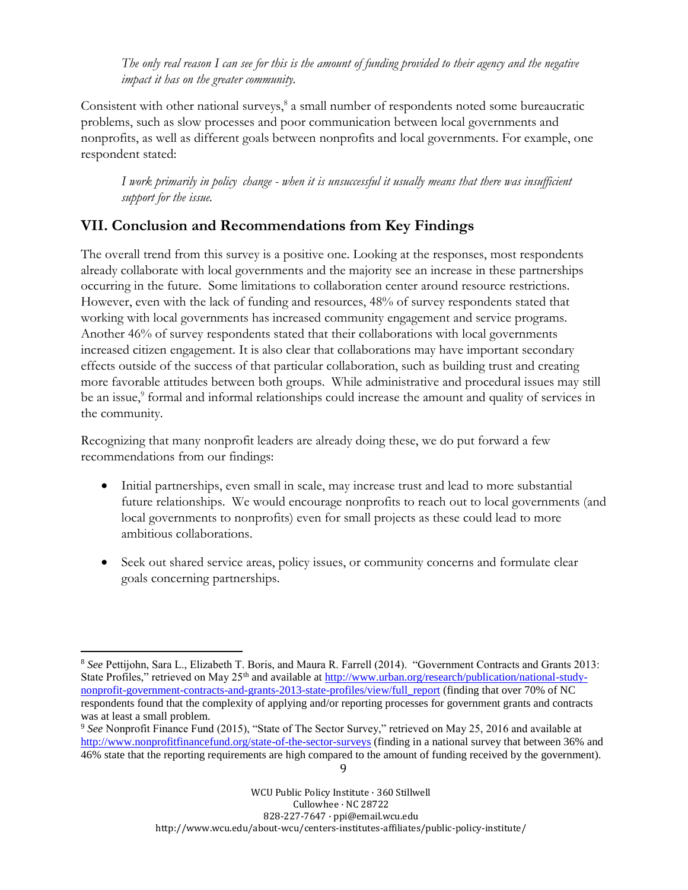The only real reason I can see for this is the amount of funding provided to their agency and the negative *impact it has on the greater community.*

Consistent with other national surveys,<sup>8</sup> a small number of respondents noted some bureaucratic problems, such as slow processes and poor communication between local governments and nonprofits, as well as different goals between nonprofits and local governments. For example, one respondent stated:

I work primarily in policy change - when it is unsuccessful it usually means that there was insufficient *support for the issue.*

# **VII. Conclusion and Recommendations from Key Findings**

The overall trend from this survey is a positive one. Looking at the responses, most respondents already collaborate with local governments and the majority see an increase in these partnerships occurring in the future. Some limitations to collaboration center around resource restrictions. However, even with the lack of funding and resources, 48% of survey respondents stated that working with local governments has increased community engagement and service programs. Another 46% of survey respondents stated that their collaborations with local governments increased citizen engagement. It is also clear that collaborations may have important secondary effects outside of the success of that particular collaboration, such as building trust and creating more favorable attitudes between both groups. While administrative and procedural issues may still be an issue,<sup>9</sup> formal and informal relationships could increase the amount and quality of services in the community.

Recognizing that many nonprofit leaders are already doing these, we do put forward a few recommendations from our findings:

- Initial partnerships, even small in scale, may increase trust and lead to more substantial future relationships. We would encourage nonprofits to reach out to local governments (and local governments to nonprofits) even for small projects as these could lead to more ambitious collaborations.
- Seek out shared service areas, policy issues, or community concerns and formulate clear goals concerning partnerships.

 $\overline{a}$ 

<sup>8</sup> *See* Pettijohn, Sara L., Elizabeth T. Boris, and Maura R. Farrell (2014). "Government Contracts and Grants 2013: State Profiles," retrieved on May 25<sup>th</sup> and available at [http://www.urban.org/research/publication/national-study](http://www.urban.org/research/publication/national-study-nonprofit-government-contracts-and-grants-2013-state-profiles/view/full_report)[nonprofit-government-contracts-and-grants-2013-state-profiles/view/full\\_report](http://www.urban.org/research/publication/national-study-nonprofit-government-contracts-and-grants-2013-state-profiles/view/full_report) (finding that over 70% of NC respondents found that the complexity of applying and/or reporting processes for government grants and contracts was at least a small problem.

<sup>9</sup> <sup>9</sup> *See* Nonprofit Finance Fund (2015), "State of The Sector Survey," retrieved on May 25, 2016 and available at <http://www.nonprofitfinancefund.org/state-of-the-sector-surveys> (finding in a national survey that between 36% and 46% state that the reporting requirements are high compared to the amount of funding received by the government).